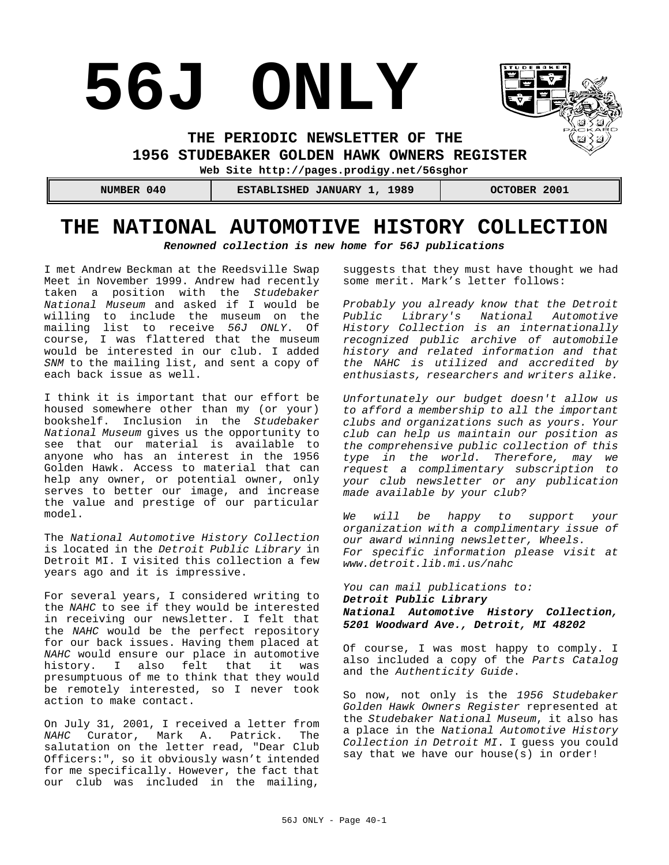# **56J ONLY**



**THE PERIODIC NEWSLETTER OF THE** 

**1956 STUDEBAKER GOLDEN HAWK OWNERS REGISTER** 

**Web Site http://pages.prodigy.net/56sghor**

| NUMBER 040 | ESTABLISHED JANUARY 1, 1989 | OCTOBER 2001 |
|------------|-----------------------------|--------------|
|            |                             |              |

# **THE NATIONAL AUTOMOTIVE HISTORY COLLECTION**

*Renowned collection is new home for 56J publications*

I met Andrew Beckman at the Reedsville Swap Meet in November 1999. Andrew had recently taken a position with the *Studebaker National Museum* and asked if I would be willing to include the museum on the mailing list to receive *56J ONLY*. Of course, I was flattered that the museum would be interested in our club. I added *SNM* to the mailing list, and sent a copy of each back issue as well.

I think it is important that our effort be housed somewhere other than my (or your) bookshelf. Inclusion in the *Studebaker National Museum* gives us the opportunity to see that our material is available to anyone who has an interest in the 1956 Golden Hawk. Access to material that can help any owner, or potential owner, only serves to better our image, and increase the value and prestige of our particular model.

The *National Automotive History Collection* is located in the *Detroit Public Library* in Detroit MI. I visited this collection a few years ago and it is impressive.

For several years, I considered writing to the *NAHC* to see if they would be interested in receiving our newsletter. I felt that the *NAHC* would be the perfect repository for our back issues. Having them placed at *NAHC* would ensure our place in automotive history. I also felt that it was presumptuous of me to think that they would be remotely interested, so I never took action to make contact.

On July 31, 2001, I received a letter from *NAHC* Curator, Mark A. Patrick. The salutation on the letter read, "Dear Club Officers:", so it obviously wasn't intended for me specifically. However, the fact that our club was included in the mailing,

suggests that they must have thought we had some merit. Mark's letter follows:

*Probably you already know that the Detroit Public Library's National Automotive History Collection is an internationally recognized public archive of automobile history and related information and that the NAHC is utilized and accredited by enthusiasts, researchers and writers alike.*

*Unfortunately our budget doesn't allow us to afford a membership to all the important clubs and organizations such as yours. Your club can help us maintain our position as the comprehensive public collection of this type in the world. Therefore, may we request a complimentary subscription to your club newsletter or any publication made available by your club?*

*We will be happy to support your organization with a complimentary issue of our award winning newsletter, Wheels. For specific information please visit at www.detroit.lib.mi.us/nahc*

*You can mail publications to: Detroit Public Library National Automotive History Collection, 5201 Woodward Ave., Detroit, MI 48202*

Of course, I was most happy to comply. I also included a copy of the *Parts Catalog* and the *Authenticity Guide*.

So now, not only is the *1956 Studebaker Golden Hawk Owners Register* represented at the *Studebaker National Museum*, it also has a place in the *National Automotive History Collection in Detroit MI*. I guess you could say that we have our house(s) in order!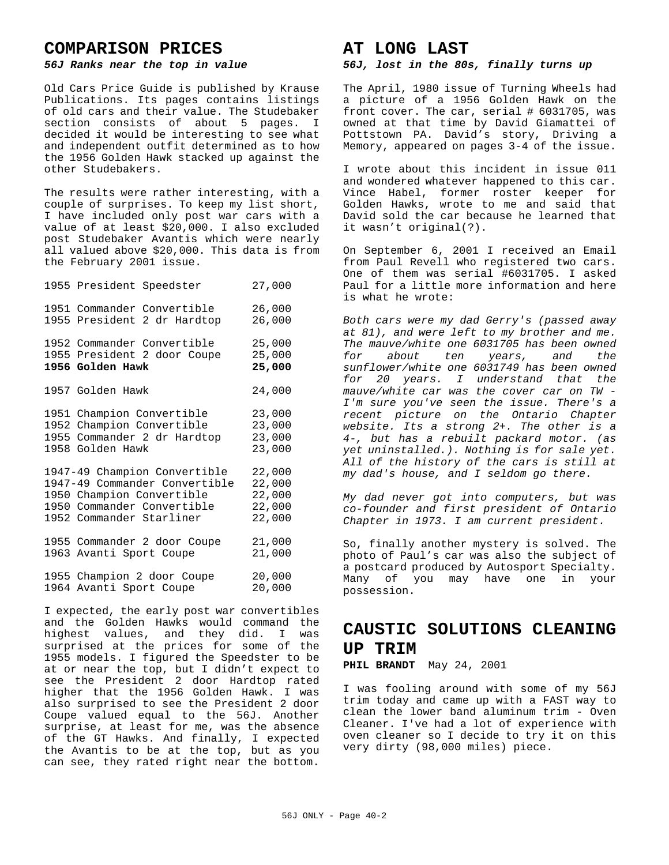# **COMPARISON PRICES**

### *56J Ranks near the top in value*

Old Cars Price Guide is published by Krause Publications. Its pages contains listings of old cars and their value. The Studebaker section consists of about 5 pages. I decided it would be interesting to see what and independent outfit determined as to how the 1956 Golden Hawk stacked up against the other Studebakers.

The results were rather interesting, with a couple of surprises. To keep my list short, I have included only post war cars with a value of at least \$20,000. I also excluded post Studebaker Avantis which were nearly all valued above \$20,000. This data is from the February 2001 issue.

| 1955 President Speedster                                                                                                                             | 27,000                                         |
|------------------------------------------------------------------------------------------------------------------------------------------------------|------------------------------------------------|
| 1951 Commander Convertible<br>1955 President 2 dr Hardtop                                                                                            | 26,000<br>26,000                               |
| 1952 Commander Convertible<br>1955 President 2 door Coupe<br>1956 Golden Hawk                                                                        | 25,000<br>25,000<br>25,000                     |
| 1957 Golden Hawk                                                                                                                                     | 24,000                                         |
| 1951 Champion Convertible<br>Champion Convertible<br>1952<br>1955 Commander 2 dr Hardtop<br>1958 Golden Hawk                                         | 23,000<br>23,000<br>23,000<br>23,000           |
| 1947-49 Champion Convertible<br>1947-49 Commander Convertible<br>1950 Champion Convertible<br>1950 Commander Convertible<br>1952 Commander Starliner | 22,000<br>22,000<br>22,000<br>22,000<br>22,000 |
| 1955 Commander 2 door Coupe<br>1963 Avanti Sport Coupe                                                                                               | 21,000<br>21,000                               |
| 1955 Champion 2 door Coupe<br>1964 Avanti Sport Coupe                                                                                                | 20,000<br>20,000                               |

I expected, the early post war convertibles and the Golden Hawks would command the highest values, and they did. I was surprised at the prices for some of the 1955 models. I figured the Speedster to be at or near the top, but I didn't expect to see the President 2 door Hardtop rated higher that the 1956 Golden Hawk. I was also surprised to see the President 2 door Coupe valued equal to the 56J. Another surprise, at least for me, was the absence of the GT Hawks. And finally, I expected the Avantis to be at the top, but as you can see, they rated right near the bottom.

# **AT LONG LAST**

#### *56J, lost in the 80s, finally turns up*

The April, 1980 issue of Turning Wheels had a picture of a 1956 Golden Hawk on the front cover. The car, serial # 6031705, was owned at that time by David Giamattei of Pottstown PA. David's story, Driving a Memory, appeared on pages 3-4 of the issue.

I wrote about this incident in issue 011 and wondered whatever happened to this car. Vince Habel, former roster keeper for Golden Hawks, wrote to me and said that David sold the car because he learned that it wasn't original(?).

On September 6, 2001 I received an Email from Paul Revell who registered two cars. One of them was serial #6031705. I asked Paul for a little more information and here is what he wrote:

*Both cars were my dad Gerry's (passed away at 81), and were left to my brother and me. The mauve/white one 6031705 has been owned for about ten years, and the sunflower/white one 6031749 has been owned for 20 years. I understand that the mauve/white car was the cover car on TW - I'm sure you've seen the issue. There's a recent picture on the Ontario Chapter website. Its a strong 2+. The other is a 4-, but has a rebuilt packard motor. (as yet uninstalled.). Nothing is for sale yet. All of the history of the cars is still at my dad's house, and I seldom go there.*

*My dad never got into computers, but was co-founder and first president of Ontario Chapter in 1973. I am current president.*

So, finally another mystery is solved. The photo of Paul's car was also the subject of a postcard produced by Autosport Specialty. Many of you may have one in your possession.

# **CAUSTIC SOLUTIONS CLEANING UP TRIM**

# **PHIL BRANDT** May 24, 2001

I was fooling around with some of my 56J trim today and came up with a FAST way to clean the lower band aluminum trim - Oven Cleaner. I've had a lot of experience with oven cleaner so I decide to try it on this very dirty (98,000 miles) piece.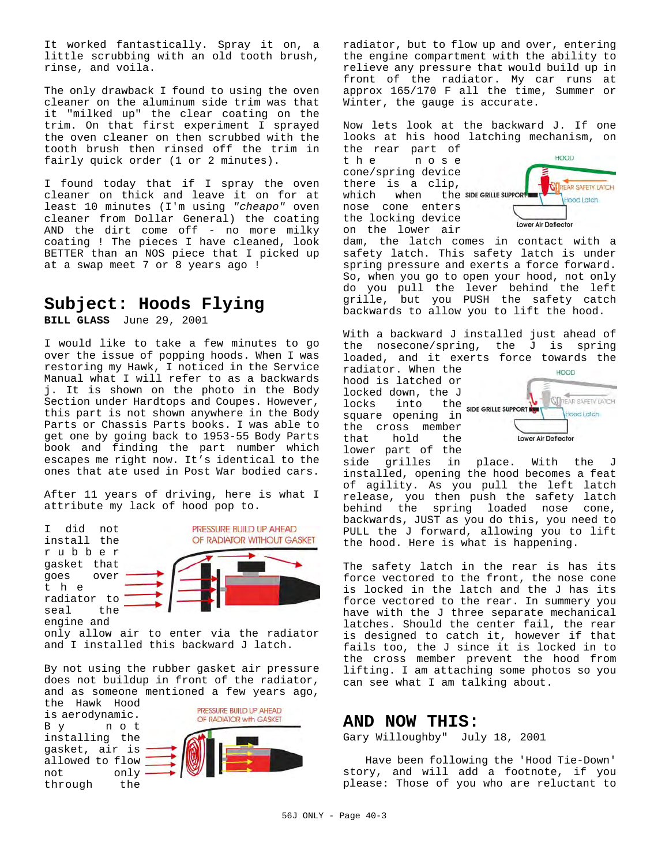It worked fantastically. Spray it on, a little scrubbing with an old tooth brush, rinse, and voila.

The only drawback I found to using the oven cleaner on the aluminum side trim was that it "milked up" the clear coating on the trim. On that first experiment I sprayed the oven cleaner on then scrubbed with the tooth brush then rinsed off the trim in fairly quick order (1 or 2 minutes).

I found today that if I spray the oven cleaner on thick and leave it on for at least 10 minutes (I'm using *"cheapo"* oven cleaner from Dollar General) the coating AND the dirt come off - no more milky coating ! The pieces I have cleaned, look BETTER than an NOS piece that I picked up at a swap meet 7 or 8 years ago !

# **Subject: Hoods Flying**

**BILL GLASS** June 29, 2001

I would like to take a few minutes to go over the issue of popping hoods. When I was restoring my Hawk, I noticed in the Service Manual what I will refer to as a backwards j. It is shown on the photo in the Body Section under Hardtops and Coupes. However, this part is not shown anywhere in the Body Parts or Chassis Parts books. I was able to get one by going back to 1953-55 Body Parts book and finding the part number which escapes me right now. It's identical to the ones that ate used in Post War bodied cars.

After 11 years of driving, here is what I attribute my lack of hood pop to.

I did not install the rubber gasket that goes over the radiator to seal the engine and



only allow air to enter via the radiator and I installed this backward J latch.

By not using the rubber gasket air pressure does not buildup in front of the radiator, and as someone mentioned a few years ago,

the Hawk Hood PRESSURE BUILD UP AHEAD is aerodynamic. OF RADIATOR with GASKET By not installing the gasket, air is allowed to flow not only through the

radiator, but to flow up and over, entering the engine compartment with the ability to relieve any pressure that would build up in front of the radiator. My car runs at approx 165/170 F all the time, Summer or Winter, the gauge is accurate.

Now lets look at the backward J. If one looks at his hood latching mechanism, on

the rear part of the nose cone/spring device there is a clip, which when the SIDE GRILLE SUPPORT nose cone enters the locking device on the lower air



dam, the latch comes in contact with a safety latch. This safety latch is under spring pressure and exerts a force forward. So, when you go to open your hood, not only do you pull the lever behind the left grille, but you PUSH the safety catch backwards to allow you to lift the hood.

With a backward J installed just ahead of the nosecone/spring, the J is spring loaded, and it exerts force towards the

radiator. When the hood is latched or locked down, the J locks into the SIDE GRILLE SUPPORT square opening in the cross member<br>that hold the hold the



lower part of the<br>side grilles in side grilles in place. With the J installed, opening the hood becomes a feat of agility. As you pull the left latch release, you then push the safety latch behind the spring loaded nose cone, backwards, JUST as you do this, you need to PULL the J forward, allowing you to lift the hood. Here is what is happening.

The safety latch in the rear is has its force vectored to the front, the nose cone is locked in the latch and the J has its force vectored to the rear. In summery you have with the J three separate mechanical latches. Should the center fail, the rear is designed to catch it, however if that fails too, the J since it is locked in to the cross member prevent the hood from lifting. I am attaching some photos so you can see what I am talking about.

# **AND NOW THIS:**

Gary Willoughby" July 18, 2001

 Have been following the 'Hood Tie-Down' story, and will add a footnote, if you please: Those of you who are reluctant to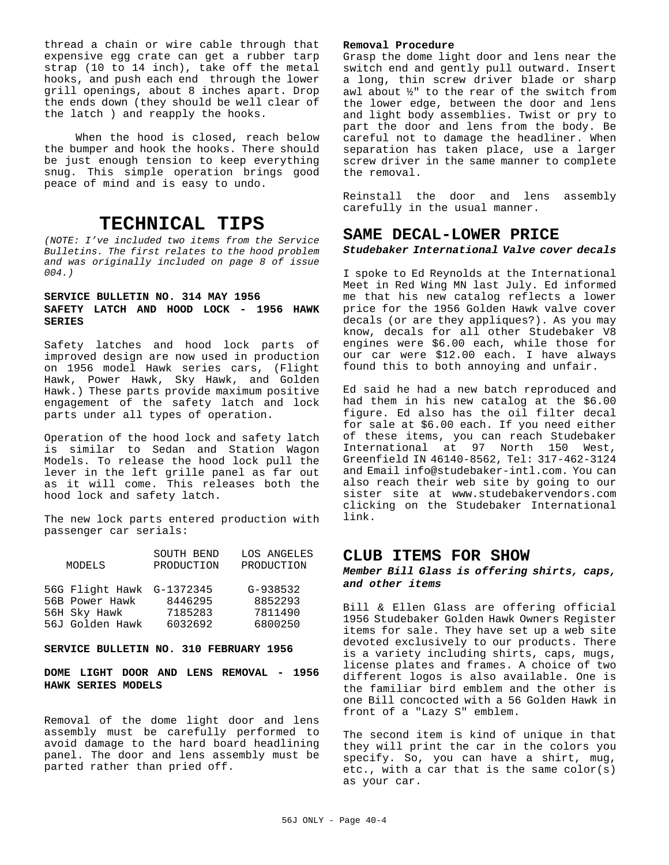thread a chain or wire cable through that expensive egg crate can get a rubber tarp strap (10 to 14 inch), take off the metal hooks, and push each end through the lower grill openings, about 8 inches apart. Drop the ends down (they should be well clear of the latch ) and reapply the hooks.

 When the hood is closed, reach below the bumper and hook the hooks. There should be just enough tension to keep everything snug. This simple operation brings good peace of mind and is easy to undo.

# **TECHNICAL TIPS**

*(NOTE: I've included two items from the Service Bulletins. The first relates to the hood problem and was originally included on page 8 of issue 004.)*

# **SERVICE BULLETIN NO. 314 MAY 1956 SAFETY LATCH AND HOOD LOCK - 1956 HAWK SERIES**

Safety latches and hood lock parts of improved design are now used in production on 1956 model Hawk series cars, (Flight Hawk, Power Hawk, Sky Hawk, and Golden Hawk.) These parts provide maximum positive engagement of the safety latch and lock parts under all types of operation.

Operation of the hood lock and safety latch is similar to Sedan and Station Wagon Models. To release the hood lock pull the lever in the left grille panel as far out as it will come. This releases both the hood lock and safety latch.

The new lock parts entered production with passenger car serials:

| MODELS                    | SOUTH BEND<br>PRODUCTION | LOS ANGELES<br>PRODUCTION |
|---------------------------|--------------------------|---------------------------|
| 56G Flight Hawk G-1372345 |                          | $G-938532$                |
| 56B Power Hawk            | 8446295                  | 8852293                   |
| 56H Sky Hawk              | 7185283                  | 7811490                   |
| 56J Golden Hawk           | 6032692                  | 6800250                   |
|                           |                          |                           |

#### **SERVICE BULLETIN NO. 310 FEBRUARY 1956**

# **DOME LIGHT DOOR AND LENS REMOVAL - 1956 HAWK SERIES MODELS**

Removal of the dome light door and lens assembly must be carefully performed to avoid damage to the hard board headlining panel. The door and lens assembly must be parted rather than pried off.

#### **Removal Procedure**

Grasp the dome light door and lens near the switch end and gently pull outward. Insert a long, thin screw driver blade or sharp awl about ½" to the rear of the switch from the lower edge, between the door and lens and light body assemblies. Twist or pry to part the door and lens from the body. Be careful not to damage the headliner. When separation has taken place, use a larger screw driver in the same manner to complete the removal.

Reinstall the door and lens assembly carefully in the usual manner.

# **SAME DECAL-LOWER PRICE**

### *Studebaker International Valve cover decals*

I spoke to Ed Reynolds at the International Meet in Red Wing MN last July. Ed informed me that his new catalog reflects a lower price for the 1956 Golden Hawk valve cover decals (or are they appliques?). As you may know, decals for all other Studebaker V8 engines were \$6.00 each, while those for our car were \$12.00 each. I have always found this to both annoying and unfair.

Ed said he had a new batch reproduced and had them in his new catalog at the \$6.00 figure. Ed also has the oil filter decal for sale at \$6.00 each. If you need either of these items, you can reach Studebaker International at 97 North 150 West, Greenfield IN 46140-8562, Tel: 317-462-3124 and Email info@studebaker-intl.com. You can also reach their web site by going to our sister site at www.studebakervendors.com clicking on the Studebaker International link.

# **CLUB ITEMS FOR SHOW**

#### *Member Bill Glass is offering shirts, caps, and other items*

Bill & Ellen Glass are offering official 1956 Studebaker Golden Hawk Owners Register items for sale. They have set up a web site devoted exclusively to our products. There is a variety including shirts, caps, mugs, license plates and frames. A choice of two different logos is also available. One is the familiar bird emblem and the other is one Bill concocted with a 56 Golden Hawk in front of a "Lazy S" emblem.

The second item is kind of unique in that they will print the car in the colors you specify. So, you can have a shirt, mug, etc., with a car that is the same color(s) as your car.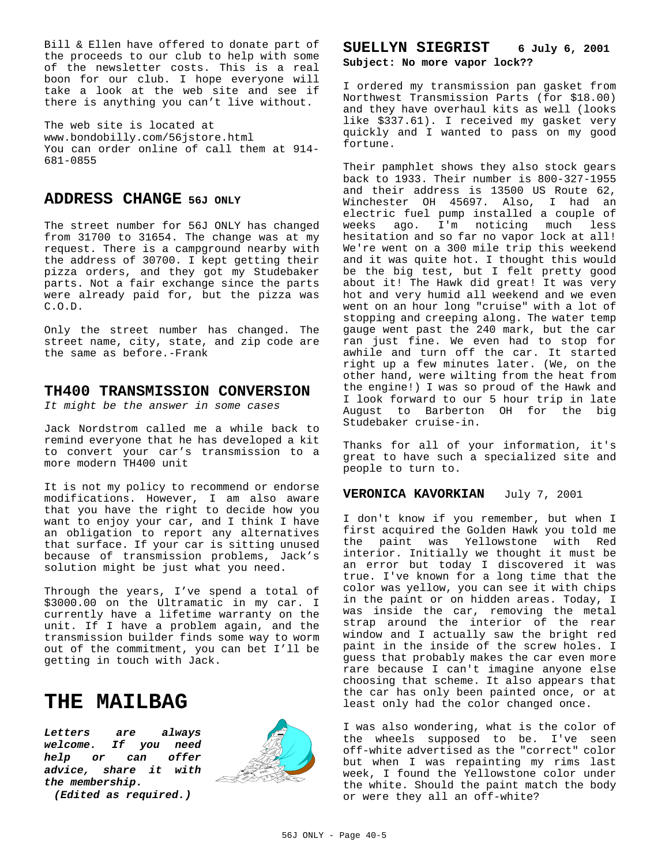Bill & Ellen have offered to donate part of the proceeds to our club to help with some of the newsletter costs. This is a real boon for our club. I hope everyone will take a look at the web site and see if there is anything you can't live without.

The web site is located at www.bondobilly.com/56jstore.html You can order online of call them at 914- 681-0855

# **ADDRESS CHANGE 56J ONLY**

The street number for 56J ONLY has changed from 31700 to 31654. The change was at my request. There is a campground nearby with the address of 30700. I kept getting their pizza orders, and they got my Studebaker parts. Not a fair exchange since the parts were already paid for, but the pizza was C.O.D.

Only the street number has changed. The street name, city, state, and zip code are the same as before.-Frank

# **TH400 TRANSMISSION CONVERSION**

*It might be the answer in some cases*

Jack Nordstrom called me a while back to remind everyone that he has developed a kit to convert your car's transmission to a more modern TH400 unit

It is not my policy to recommend or endorse modifications. However, I am also aware that you have the right to decide how you want to enjoy your car, and I think I have an obligation to report any alternatives that surface. If your car is sitting unused because of transmission problems, Jack's solution might be just what you need.

Through the years, I've spend a total of \$3000.00 on the Ultramatic in my car. I currently have a lifetime warranty on the unit. If I have a problem again, and the transmission builder finds some way to worm out of the commitment, you can bet I'll be getting in touch with Jack.

# **THE MAILBAG**

*Letters are always welcome. If you need help or can offer advice, share it with the membership.*





# SUELLYN SIEGRIST 6 July 6, 2001 **Subject: No more vapor lock??**

I ordered my transmission pan gasket from Northwest Transmission Parts (for \$18.00) and they have overhaul kits as well (looks like \$337.61). I received my gasket very quickly and I wanted to pass on my good fortune.

Their pamphlet shows they also stock gears back to 1933. Their number is 800-327-1955 and their address is 13500 US Route 62, Winchester OH 45697. Also, I had an electric fuel pump installed a couple of weeks ago. I'm noticing much less hesitation and so far no vapor lock at all! We're went on a 300 mile trip this weekend and it was quite hot. I thought this would be the big test, but I felt pretty good about it! The Hawk did great! It was very hot and very humid all weekend and we even went on an hour long "cruise" with a lot of stopping and creeping along. The water temp gauge went past the 240 mark, but the car ran just fine. We even had to stop for awhile and turn off the car. It started right up a few minutes later. (We, on the other hand, were wilting from the heat from the engine!) I was so proud of the Hawk and I look forward to our 5 hour trip in late August to Barberton OH for the big Studebaker cruise-in.

Thanks for all of your information, it's great to have such a specialized site and people to turn to.

# **VERONICA KAVORKIAN** July 7, 2001

I don't know if you remember, but when I first acquired the Golden Hawk you told me the paint was Yellowstone with Red interior. Initially we thought it must be an error but today I discovered it was true. I've known for a long time that the color was yellow, you can see it with chips in the paint or on hidden areas. Today, I was inside the car, removing the metal strap around the interior of the rear window and I actually saw the bright red paint in the inside of the screw holes. I guess that probably makes the car even more rare because I can't imagine anyone else choosing that scheme. It also appears that the car has only been painted once, or at least only had the color changed once.

I was also wondering, what is the color of the wheels supposed to be. I've seen off-white advertised as the "correct" color but when I was repainting my rims last week, I found the Yellowstone color under the white. Should the paint match the body or were they all an off-white?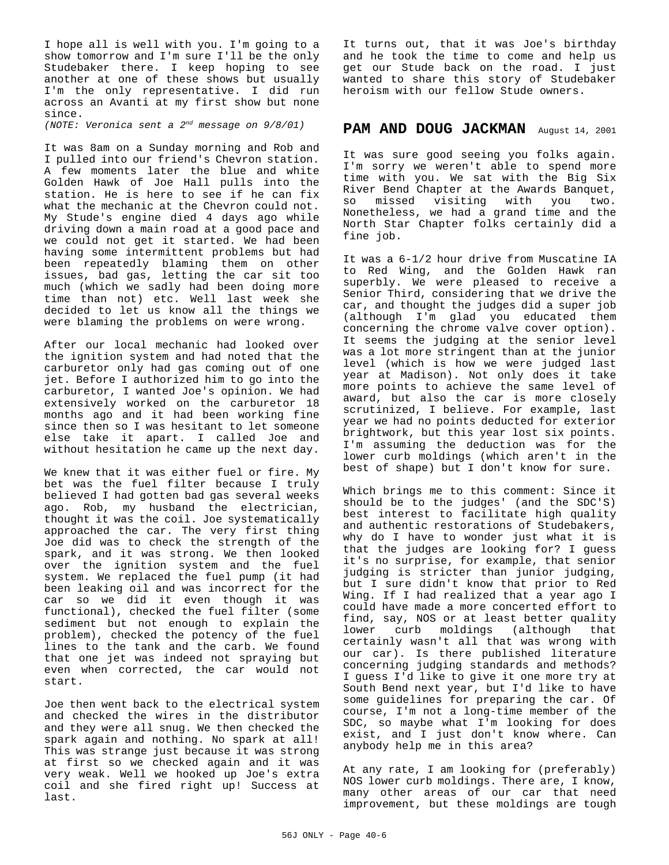I hope all is well with you. I'm going to a show tomorrow and I'm sure I'll be the only Studebaker there. I keep hoping to see another at one of these shows but usually I'm the only representative. I did run across an Avanti at my first show but none since.

*(NOTE: Veronica sent a 2nd message on 9/8/01)*

It was 8am on a Sunday morning and Rob and I pulled into our friend's Chevron station. A few moments later the blue and white Golden Hawk of Joe Hall pulls into the station. He is here to see if he can fix what the mechanic at the Chevron could not. My Stude's engine died 4 days ago while driving down a main road at a good pace and we could not get it started. We had been having some intermittent problems but had been repeatedly blaming them on other issues, bad gas, letting the car sit too much (which we sadly had been doing more time than not) etc. Well last week she decided to let us know all the things we were blaming the problems on were wrong.

After our local mechanic had looked over the ignition system and had noted that the carburetor only had gas coming out of one jet. Before I authorized him to go into the carburetor, I wanted Joe's opinion. We had extensively worked on the carburetor 18 months ago and it had been working fine since then so I was hesitant to let someone else take it apart. I called Joe and without hesitation he came up the next day.

We knew that it was either fuel or fire. My bet was the fuel filter because I truly believed I had gotten bad gas several weeks ago. Rob, my husband the electrician, thought it was the coil. Joe systematically approached the car. The very first thing Joe did was to check the strength of the spark, and it was strong. We then looked over the ignition system and the fuel system. We replaced the fuel pump (it had been leaking oil and was incorrect for the car so we did it even though it was functional), checked the fuel filter (some sediment but not enough to explain the problem), checked the potency of the fuel lines to the tank and the carb. We found that one jet was indeed not spraying but even when corrected, the car would not start.

Joe then went back to the electrical system and checked the wires in the distributor and they were all snug. We then checked the spark again and nothing. No spark at all! This was strange just because it was strong at first so we checked again and it was very weak. Well we hooked up Joe's extra coil and she fired right up! Success at last.

It turns out, that it was Joe's birthday and he took the time to come and help us get our Stude back on the road. I just wanted to share this story of Studebaker heroism with our fellow Stude owners.

# PAM AND DOUG JACKMAN August 14, 2001

It was sure good seeing you folks again. I'm sorry we weren't able to spend more time with you. We sat with the Big Six River Bend Chapter at the Awards Banquet, so missed visiting with you two. Nonetheless, we had a grand time and the North Star Chapter folks certainly did a fine job.

It was a 6-1/2 hour drive from Muscatine IA to Red Wing, and the Golden Hawk ran superbly. We were pleased to receive a Senior Third, considering that we drive the car, and thought the judges did a super job (although I'm glad you educated them concerning the chrome valve cover option). It seems the judging at the senior level was a lot more stringent than at the junior level (which is how we were judged last year at Madison). Not only does it take more points to achieve the same level of award, but also the car is more closely scrutinized, I believe. For example, last year we had no points deducted for exterior brightwork, but this year lost six points. I'm assuming the deduction was for the lower curb moldings (which aren't in the best of shape) but I don't know for sure.

Which brings me to this comment: Since it should be to the judges' (and the SDC'S) best interest to facilitate high quality and authentic restorations of Studebakers, why do I have to wonder just what it is that the judges are looking for? I guess it's no surprise, for example, that senior judging is stricter than junior judging, but I sure didn't know that prior to Red Wing. If I had realized that a year ago I could have made a more concerted effort to find, say, NOS or at least better quality lower curb moldings (although that certainly wasn't all that was wrong with our car). Is there published literature concerning judging standards and methods? I guess I'd like to give it one more try at South Bend next year, but I'd like to have some guidelines for preparing the car. Of course, I'm not a long-time member of the SDC, so maybe what I'm looking for does exist, and I just don't know where. Can anybody help me in this area?

At any rate, I am looking for (preferably) NOS lower curb moldings. There are, I know, many other areas of our car that need improvement, but these moldings are tough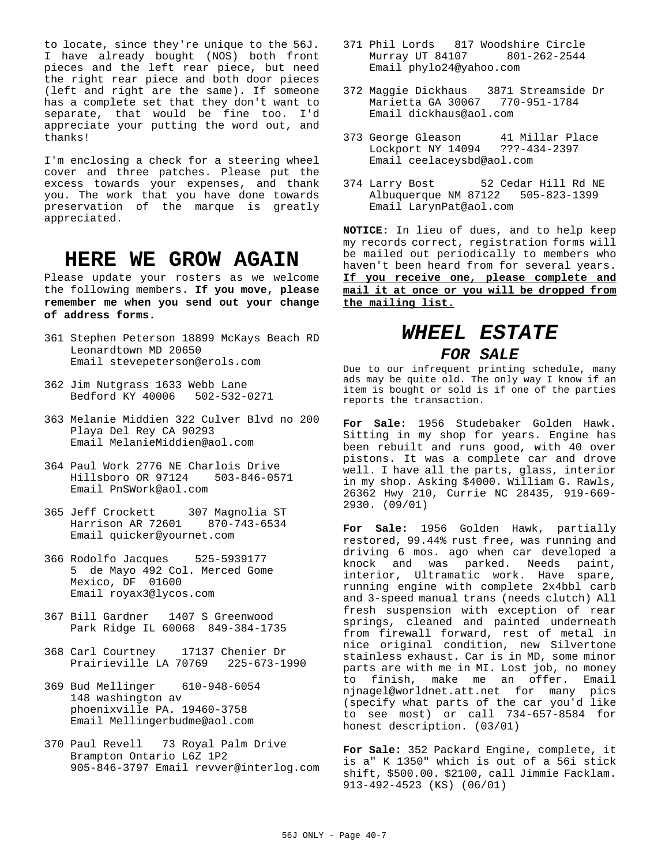to locate, since they're unique to the 56J. I have already bought (NOS) both front pieces and the left rear piece, but need the right rear piece and both door pieces (left and right are the same). If someone has a complete set that they don't want to separate, that would be fine too. I'd appreciate your putting the word out, and thanks!

I'm enclosing a check for a steering wheel cover and three patches. Please put the excess towards your expenses, and thank you. The work that you have done towards preservation of the marque is greatly appreciated.

# **HERE WE GROW AGAIN**

Please update your rosters as we welcome the following members. **If you move, please remember me when you send out your change of address forms.**

- 361 Stephen Peterson 18899 McKays Beach RD Leonardtown MD 20650 Email stevepeterson@erols.com
- 362 Jim Nutgrass 1633 Webb Lane Bedford KY 40006 502-532-0271
- 363 Melanie Middien 322 Culver Blvd no 200 Playa Del Rey CA 90293 Email MelanieMiddien@aol.com
- 364 Paul Work 2776 NE Charlois Drive Hillsboro OR 97124 503-846-0571 Email PnSWork@aol.com
- 365 Jeff Crockett 307 Magnolia ST Harrison AR 72601 870-743-6534 Email quicker@yournet.com
- 366 Rodolfo Jacques 525-5939177 5 de Mayo 492 Col. Merced Gome Mexico, DF 01600 Email royax3@lycos.com
- 367 Bill Gardner 1407 S Greenwood Park Ridge IL 60068 849-384-1735
- 368 Carl Courtney 17137 Chenier Dr Prairieville LA 70769 225-673-1990
- 369 Bud Mellinger 610-948-6054 148 washington av phoenixville PA. 19460-3758 Email Mellingerbudme@aol.com
- 370 Paul Revell 73 Royal Palm Drive Brampton Ontario L6Z 1P2 905-846-3797 Email revver@interlog.com
- 371 Phil Lords 817 Woodshire Circle Murray UT 84107 801-262-2544 Email phylo24@yahoo.com
- 372 Maggie Dickhaus 3871 Streamside Dr Marietta GA 30067 770-951-1784 Email dickhaus@aol.com
- 373 George Gleason 41 Millar Place Lockport NY 14094 Email ceelaceysbd@aol.com
- 374 Larry Bost 52 Cedar Hill Rd NE Albuquerque NM 87122 505-823-1399 Email LarynPat@aol.com

**NOTICE:** In lieu of dues, and to help keep my records correct, registration forms will be mailed out periodically to members who haven't been heard from for several years. **If you receive one, please complete and mail it at once or you will be dropped from the mailing list.**

# *WHEEL ESTATE*

# *FOR SALE*

Due to our infrequent printing schedule, many ads may be quite old. The only way I know if an item is bought or sold is if one of the parties reports the transaction.

**For Sale:** 1956 Studebaker Golden Hawk. Sitting in my shop for years. Engine has been rebuilt and runs good, with 40 over pistons. It was a complete car and drove well. I have all the parts, glass, interior in my shop. Asking \$4000. William G. Rawls, 26362 Hwy 210, Currie NC 28435, 919-669- 2930. (09/01)

**For Sale:** 1956 Golden Hawk, partially restored, 99.44% rust free, was running and driving 6 mos. ago when car developed a knock and was parked. Needs paint, interior, Ultramatic work. Have spare, running engine with complete 2x4bbl carb and 3-speed manual trans (needs clutch) All fresh suspension with exception of rear springs, cleaned and painted underneath from firewall forward, rest of metal in nice original condition, new Silvertone stainless exhaust. Car is in MD, some minor parts are with me in MI. Lost job, no money to finish, make me an offer. Email njnagel@worldnet.att.net for many pics (specify what parts of the car you'd like to see most) or call 734-657-8584 for honest description. (03/01)

**For Sale:** 352 Packard Engine, complete, it is a" K 1350" which is out of a 56i stick shift, \$500.00. \$2100, call Jimmie Facklam. 913-492-4523 (KS) (06/01)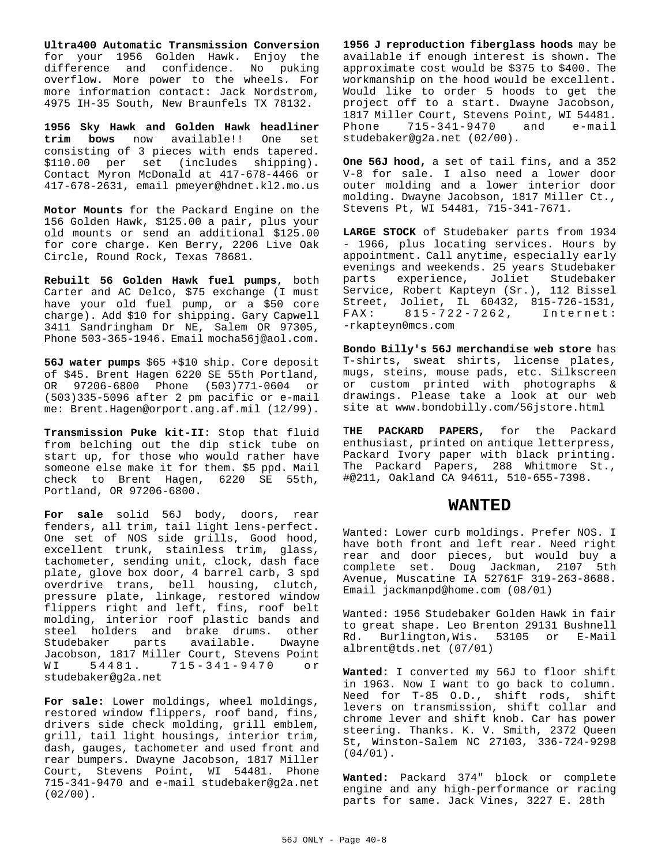**Ultra400 Automatic Transmission Conversion** for your 1956 Golden Hawk. Enjoy the difference and confidence. No puking overflow. More power to the wheels. For more information contact: Jack Nordstrom, 4975 IH-35 South, New Braunfels TX 78132.

**1956 Sky Hawk and Golden Hawk headliner trim bows** now available!! One set consisting of 3 pieces with ends tapered. \$110.00 per set (includes shipping). Contact Myron McDonald at 417-678-4466 or 417-678-2631, email pmeyer@hdnet.kl2.mo.us

**Motor Mounts** for the Packard Engine on the 156 Golden Hawk, \$125.00 a pair, plus your old mounts or send an additional \$125.00 for core charge. Ken Berry, 2206 Live Oak Circle, Round Rock, Texas 78681.

**Rebuilt 56 Golden Hawk fuel pumps**, both Carter and AC Delco, \$75 exchange (I must have your old fuel pump, or a \$50 core charge). Add \$10 for shipping. Gary Capwell 3411 Sandringham Dr NE, Salem OR 97305, Phone 503-365-1946. Email mocha56j@aol.com.

**56J water pumps** \$65 +\$10 ship. Core deposit of \$45. Brent Hagen 6220 SE 55th Portland, OR 97206-6800 Phone (503)771-0604 or (503)335-5096 after 2 pm pacific or e-mail me: Brent.Hagen@orport.ang.af.mil (12/99).

**Transmission Puke kit-II**: Stop that fluid from belching out the dip stick tube on start up, for those who would rather have someone else make it for them. \$5 ppd. Mail check to Brent Hagen, 6220 SE 55th, Portland, OR 97206-6800.

**For sale** solid 56J body, doors, rear fenders, all trim, tail light lens-perfect. One set of NOS side grills, Good hood, excellent trunk, stainless trim, glass, tachometer, sending unit, clock, dash face plate, glove box door, 4 barrel carb, 3 spd overdrive trans, bell housing, clutch, pressure plate, linkage, restored window flippers right and left, fins, roof belt molding, interior roof plastic bands and steel holders and brake drums. other Studebaker parts available. Dwayne Jacobson, 1817 Miller Court, Stevens Point WI 54481. 715-341-9470 or studebaker@g2a.net

**For sale:** Lower moldings, wheel moldings, restored window flippers, roof band, fins, drivers side check molding, grill emblem, grill, tail light housings, interior trim, dash, gauges, tachometer and used front and rear bumpers. Dwayne Jacobson, 1817 Miller Court, Stevens Point, WI 54481. Phone 715-341-9470 and e-mail studebaker@g2a.net  $(02/00)$ .

**1956 J reproduction fiberglass hoods** may be available if enough interest is shown. The approximate cost would be \$375 to \$400. The workmanship on the hood would be excellent. Would like to order 5 hoods to get the project off to a start. Dwayne Jacobson, 1817 Miller Court, Stevens Point, WI 54481. Phone 715-341-9470 and e-mail studebaker@g2a.net (02/00).

**One 56J hood,** a set of tail fins, and a 352 V-8 for sale. I also need a lower door outer molding and a lower interior door molding. Dwayne Jacobson, 1817 Miller Ct., Stevens Pt, WI 54481, 715-341-7671.

**LARGE STOCK** of Studebaker parts from 1934 - 1966, plus locating services. Hours by appointment. Call anytime, especially early evenings and weekends. 25 years Studebaker parts experience, Joliet Studebaker Service, Robert Kapteyn (Sr.), 112 Bissel Street, Joliet, IL 60432, 815-726-1531, FAX: 815-722 -7262, Internet: -rkapteyn0mcs.com

**Bondo Billy's 56J merchandise web store** has T-shirts, sweat shirts, license plates, mugs, steins, mouse pads, etc. Silkscreen or custom printed with photographs & drawings. Please take a look at our web site at www.bondobilly.com/56jstore.html

T**HE PACKARD PAPERS,** for the Packard enthusiast, printed on antique letterpress, Packard Ivory paper with black printing. The Packard Papers, 288 Whitmore St., #@211, Oakland CA 94611, 510-655-7398.

# **WANTED**

Wanted: Lower curb moldings. Prefer NOS. I have both front and left rear. Need right rear and door pieces, but would buy a complete set. Doug Jackman, 2107 5th Avenue, Muscatine IA 52761F 319-263-8688. Email jackmanpd@home.com (08/01)

Wanted: 1956 Studebaker Golden Hawk in fair to great shape. Leo Brenton 29131 Bushnell Rd. Burlington,Wis. 53105 or E-Mail albrent@tds.net (07/01)

**Wanted:** I converted my 56J to floor shift in 1963. Now I want to go back to column. Need for T-85 O.D., shift rods, shift levers on transmission, shift collar and chrome lever and shift knob. Car has power steering. Thanks. K. V. Smith, 2372 Queen St, Winston-Salem NC 27103, 336-724-9298 (04/01).

**Wanted:** Packard 374" block or complete engine and any high-performance or racing parts for same. Jack Vines, 3227 E. 28th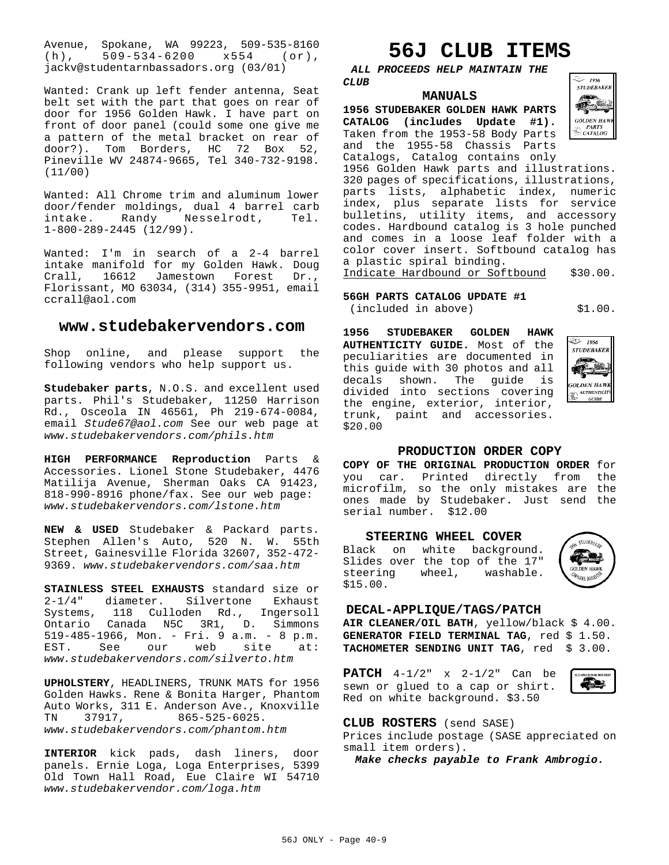Avenue, Spokane, WA 99223, 509-535-8160 (h), 509-534-6200 x554 (or), jackv@studentarnbassadors.org (03/01)

Wanted: Crank up left fender antenna, Seat belt set with the part that goes on rear of door for 1956 Golden Hawk. I have part on front of door panel (could some one give me a pattern of the metal bracket on rear of door?). Tom Borders, HC 72 Box 52, Pineville WV 24874-9665, Tel 340-732-9198. (11/00)

Wanted: All Chrome trim and aluminum lower door/fender moldings, dual 4 barrel carb intake. Randy Nesselrodt, Tel. 1-800-289-2445 (12/99).

Wanted: I'm in search of a 2-4 barrel intake manifold for my Golden Hawk. Doug Crall, 16612 Jamestown Forest Florissant, MO 63034, (314) 355-9951, email ccrall@aol.com

# **www.studebakervendors.com**

Shop online, and please support the following vendors who help support us.

**Studebaker parts**, N.O.S. and excellent used parts. Phil's Studebaker, 11250 Harrison Rd., Osceola IN 46561, Ph 219-674-0084, email *Stude67@aol.com* See our web page at *www.studebakervendors.com/phils.htm*

**HIGH PERFORMANCE Reproduction** Parts & Accessories. Lionel Stone Studebaker, 4476 Matilija Avenue, Sherman Oaks CA 91423, 818-990-8916 phone/fax. See our web page: *www.studebakervendors.com/lstone.htm*

**NEW & USED** Studebaker & Packard parts. Stephen Allen's Auto, 520 N. W. 55th Street, Gainesville Florida 32607, 352-472- 9369. *www.studebakervendors.com/saa.htm*

**STAINLESS STEEL EXHAUSTS** standard size or 2-1/4" diameter. Silvertone Exhaust Systems, 118 Culloden Rd., Ingersoll Ontario Canada N5C 3R1, D. Simmons 519-485-1966, Mon. - Fri. 9 a.m. - 8 p.m. EST. See our web site at: *www.studebakervendors.com/silverto.htm*

**UPHOLSTERY**, HEADLINERS, TRUNK MATS for 1956 Golden Hawks. Rene & Bonita Harger, Phantom Auto Works, 311 E. Anderson Ave., Knoxville TN 37917, 865-525-6025. *www.studebakervendors.com/phantom.htm*

**INTERIOR** kick pads, dash liners, door panels. Ernie Loga, Loga Enterprises, 5399 Old Town Hall Road, Eue Claire WI 54710 *www.studebakervendor.com/loga.htm*

# **56J CLUB ITEMS**

*ALL PROCEEDS HELP MAINTAIN THE CLUB*

# **MANUALS**

**1956 STUDEBAKER GOLDEN HAWK PARTS CATALOG (includes Update #1).** Taken from the 1953-58 Body Parts and the 1955-58 Chassis Parts Catalogs, Catalog contains only



1956 Golden Hawk parts and illustrations. 320 pages of specifications, illustrations, parts lists, alphabetic index, numeric index, plus separate lists for service bulletins, utility items, and accessory codes. Hardbound catalog is 3 hole punched and comes in a loose leaf folder with a color cover insert. Softbound catalog has a plastic spiral binding.

Indicate Hardbound or Softbound \$30.00.

# **56GH PARTS CATALOG UPDATE #1** (included in above) \$1.00.

**1956 STUDEBAKER GOLDEN HAWK AUTHENTICITY GUIDE.** Most of the peculiarities are documented in this guide with 30 photos and all decals shown. The guide is divided into sections covering the engine, exterior, interior, trunk, paint and accessories. \$20.00



# **PRODUCTION ORDER COPY**

**COPY OF THE ORIGINAL PRODUCTION ORDER** for you car. Printed directly from the microfilm, so the only mistakes are the ones made by Studebaker. Just send the serial number. \$12.00

# **STEERING WHEEL COVER**

Black on white background. Slides over the top of the 17" steering wheel, washable. \$15.00.



# **DECAL-APPLIQUE/TAGS/PATCH**

**AIR CLEANER/OIL BATH**, yellow/black \$ 4.00. GENERATOR FIELD TERMINAL TAG, red \$ 1.50. TACHOMETER SENDING UNIT TAG, red \$ 3.00.

**PATCH** 4-1/2" x 2-1/2" Can be sewn or glued to a cap or shirt. Red on white background. \$3.50



# **CLUB ROSTERS** (send SASE)

Prices include postage (SASE appreciated on small item orders).

*Make checks payable to Frank Ambrogio.*